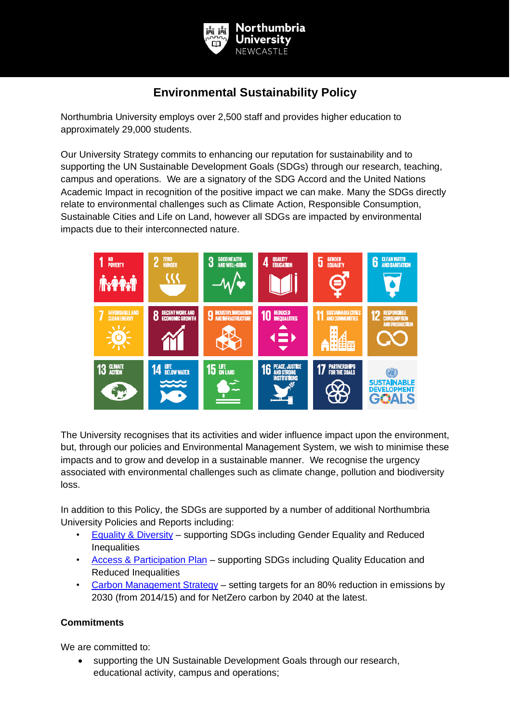

## **Environmental Sustainability Policy**

Northumbria University employs over 2,500 staff and provides higher education to approximately 29,000 students.

Our University Strategy commits to enhancing our reputation for sustainability and to supporting the UN Sustainable Development Goals (SDGs) through our research, teaching, campus and operations. We are a signatory of the SDG Accord and the United Nations Academic Impact in recognition of the positive impact we can make. Many the SDGs directly relate to environmental challenges such as Climate Action, Responsible Consumption, Sustainable Cities and Life on Land, however all SDGs are impacted by environmental impacts due to their interconnected nature.



The University recognises that its activities and wider influence impact upon the environment, but, through our policies and Environmental Management System, we wish to minimise these impacts and to grow and develop in a sustainable manner. We recognise the urgency associated with environmental challenges such as climate change, pollution and biodiversity loss.

In addition to this Policy, the SDGs are supported by a number of additional Northumbria University Policies and Reports including:

- [Equality & Diversity](https://www.northumbria.ac.uk/about-us/equality-and-diversity/equality-and-diversity-policies-and-reports/) supporting SDGs including Gender Equality and Reduced **Inequalities**
- [Access & Participation Plan](https://www.northumbria.ac.uk/about-us/access-and-participation-plan/) supporting SDGs including Quality Education and Reduced Inequalities
- [Carbon Management Strategy](https://www.flipsnack.com/northumbriaod/carbon-management-strategy-2020-2030/full-view.html) setting targets for an 80% reduction in emissions by 2030 (from 2014/15) and for NetZero carbon by 2040 at the latest.

## **Commitments**

We are committed to:

• supporting the UN Sustainable Development Goals through our research, educational activity, campus and operations;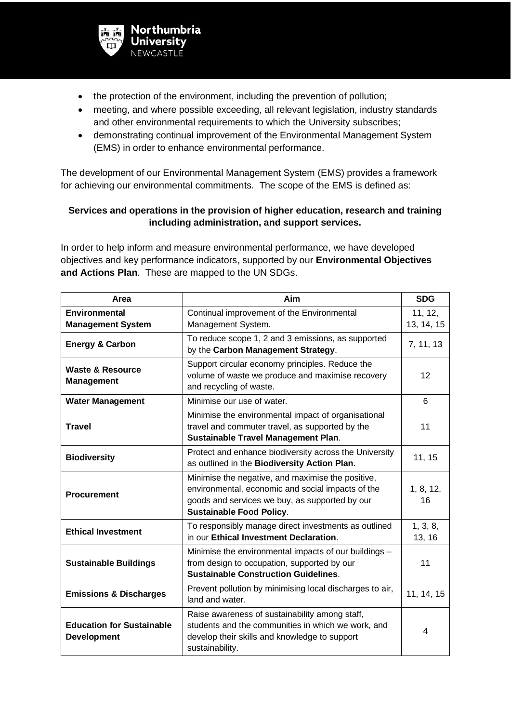

- the protection of the environment, including the prevention of pollution;
- meeting, and where possible exceeding, all relevant legislation, industry standards and other environmental requirements to which the University subscribes;
- demonstrating continual improvement of the Environmental Management System (EMS) in order to enhance environmental performance.

The development of our Environmental Management System (EMS) provides a framework for achieving our environmental commitments. The scope of the EMS is defined as:

## **Services and operations in the provision of higher education, research and training including administration, and support services.**

In order to help inform and measure environmental performance, we have developed objectives and key performance indicators, supported by our **Environmental Objectives and Actions Plan**. These are mapped to the UN SDGs.

| Area                                                                                                                                                                                                                               | Aim                                                                                                                                                                                         |                       |
|------------------------------------------------------------------------------------------------------------------------------------------------------------------------------------------------------------------------------------|---------------------------------------------------------------------------------------------------------------------------------------------------------------------------------------------|-----------------------|
| Environmental<br><b>Management System</b>                                                                                                                                                                                          | Continual improvement of the Environmental<br>Management System.                                                                                                                            | 11, 12,<br>13, 14, 15 |
| To reduce scope 1, 2 and 3 emissions, as supported<br><b>Energy &amp; Carbon</b><br>by the Carbon Management Strategy.                                                                                                             |                                                                                                                                                                                             | 7, 11, 13             |
| Support circular economy principles. Reduce the<br><b>Waste &amp; Resource</b><br>volume of waste we produce and maximise recovery<br><b>Management</b><br>and recycling of waste.                                                 |                                                                                                                                                                                             | 12                    |
| <b>Water Management</b>                                                                                                                                                                                                            | Minimise our use of water.                                                                                                                                                                  |                       |
| <b>Travel</b>                                                                                                                                                                                                                      | Minimise the environmental impact of organisational<br>travel and commuter travel, as supported by the<br><b>Sustainable Travel Management Plan.</b>                                        |                       |
| <b>Biodiversity</b>                                                                                                                                                                                                                | Protect and enhance biodiversity across the University<br>as outlined in the Biodiversity Action Plan.                                                                                      |                       |
| <b>Procurement</b>                                                                                                                                                                                                                 | Minimise the negative, and maximise the positive,<br>environmental, economic and social impacts of the<br>goods and services we buy, as supported by our<br><b>Sustainable Food Policy.</b> | 1, 8, 12,<br>16       |
| To responsibly manage direct investments as outlined<br><b>Ethical Investment</b><br>in our Ethical Investment Declaration.                                                                                                        |                                                                                                                                                                                             | 1, 3, 8,<br>13, 16    |
| Minimise the environmental impacts of our buildings -<br>from design to occupation, supported by our<br><b>Sustainable Buildings</b><br><b>Sustainable Construction Guidelines.</b>                                                |                                                                                                                                                                                             | 11                    |
| Prevent pollution by minimising local discharges to air,<br><b>Emissions &amp; Discharges</b><br>land and water.                                                                                                                   |                                                                                                                                                                                             | 11, 14, 15            |
| Raise awareness of sustainability among staff,<br><b>Education for Sustainable</b><br>students and the communities in which we work, and<br>develop their skills and knowledge to support<br><b>Development</b><br>sustainability. |                                                                                                                                                                                             | 4                     |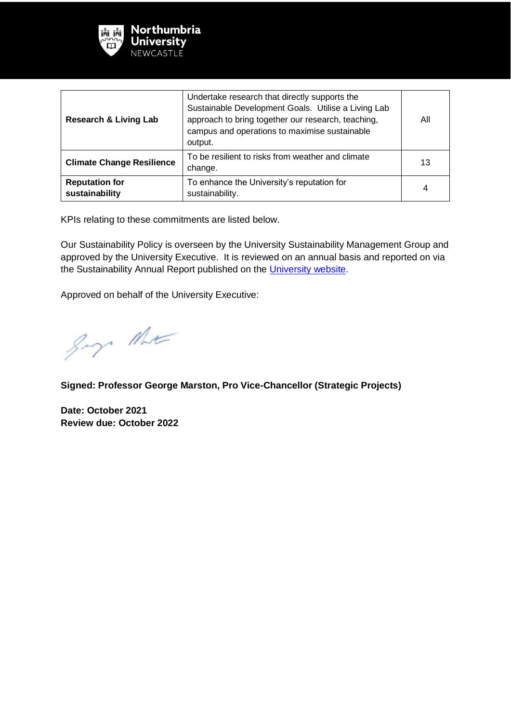

| <b>Research &amp; Living Lab</b>                                                                         | Undertake research that directly supports the<br>Sustainable Development Goals. Utilise a Living Lab<br>approach to bring together our research, teaching,<br>campus and operations to maximise sustainable<br>output. | All |
|----------------------------------------------------------------------------------------------------------|------------------------------------------------------------------------------------------------------------------------------------------------------------------------------------------------------------------------|-----|
| <b>Climate Change Resilience</b>                                                                         | To be resilient to risks from weather and climate<br>change.                                                                                                                                                           | 13  |
| <b>Reputation for</b><br>To enhance the University's reputation for<br>sustainability<br>sustainability. |                                                                                                                                                                                                                        | 4   |

KPIs relating to these commitments are listed below.

Our Sustainability Policy is overseen by the University Sustainability Management Group and approved by the University Executive. It is reviewed on an annual basis and reported on via the Sustainability Annual Report published on the [University website.](http://www.northumbria.ac.uk/sustainability)

Approved on behalf of the University Executive:

gay the

**Signed: Professor George Marston, Pro Vice-Chancellor (Strategic Projects)** 

**Date: October 2021 Review due: October 2022**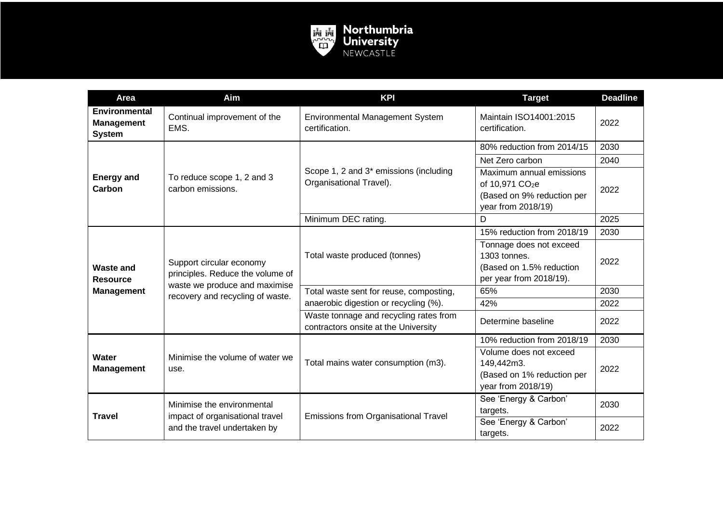

| Area                                                     | Aim                                                                                                                               | <b>KPI</b>                                                                     | <b>Target</b>                                                                                               | <b>Deadline</b> |
|----------------------------------------------------------|-----------------------------------------------------------------------------------------------------------------------------------|--------------------------------------------------------------------------------|-------------------------------------------------------------------------------------------------------------|-----------------|
| Environmental<br><b>Management</b><br><b>System</b>      | Continual improvement of the<br>EMS.                                                                                              | <b>Environmental Management System</b><br>certification.                       | Maintain ISO14001:2015<br>certification.                                                                    | 2022            |
| <b>Energy and</b><br>Carbon                              | To reduce scope 1, 2 and 3<br>carbon emissions.                                                                                   | Scope 1, 2 and 3 <sup>*</sup> emissions (including<br>Organisational Travel).  | 80% reduction from 2014/15                                                                                  | 2030            |
|                                                          |                                                                                                                                   |                                                                                | Net Zero carbon                                                                                             | 2040            |
|                                                          |                                                                                                                                   |                                                                                | Maximum annual emissions<br>of 10,971 CO <sub>2</sub> e<br>(Based on 9% reduction per<br>year from 2018/19) | 2022            |
|                                                          |                                                                                                                                   | Minimum DEC rating.                                                            | D                                                                                                           | 2025            |
|                                                          | Support circular economy<br>principles. Reduce the volume of<br>waste we produce and maximise<br>recovery and recycling of waste. | Total waste produced (tonnes)                                                  | 15% reduction from 2018/19                                                                                  | 2030            |
| <b>Waste and</b><br><b>Resource</b><br><b>Management</b> |                                                                                                                                   |                                                                                | Tonnage does not exceed<br>1303 tonnes.<br>(Based on 1.5% reduction<br>per year from 2018/19).              | 2022            |
|                                                          |                                                                                                                                   | Total waste sent for reuse, composting,                                        | 65%                                                                                                         | 2030            |
|                                                          |                                                                                                                                   | anaerobic digestion or recycling (%).                                          | 42%                                                                                                         | 2022            |
|                                                          |                                                                                                                                   | Waste tonnage and recycling rates from<br>contractors onsite at the University | Determine baseline                                                                                          | 2022            |
| Water<br><b>Management</b>                               | Minimise the volume of water we<br>use.                                                                                           | Total mains water consumption (m3).                                            | 10% reduction from 2018/19                                                                                  | 2030            |
|                                                          |                                                                                                                                   |                                                                                | Volume does not exceed<br>149,442m3.<br>(Based on 1% reduction per<br>year from 2018/19)                    | 2022            |
| <b>Travel</b>                                            | Minimise the environmental<br>impact of organisational travel<br>and the travel undertaken by                                     | Emissions from Organisational Travel                                           | See 'Energy & Carbon'<br>targets.<br>See 'Energy & Carbon'                                                  | 2030<br>2022    |
|                                                          |                                                                                                                                   |                                                                                | targets.                                                                                                    |                 |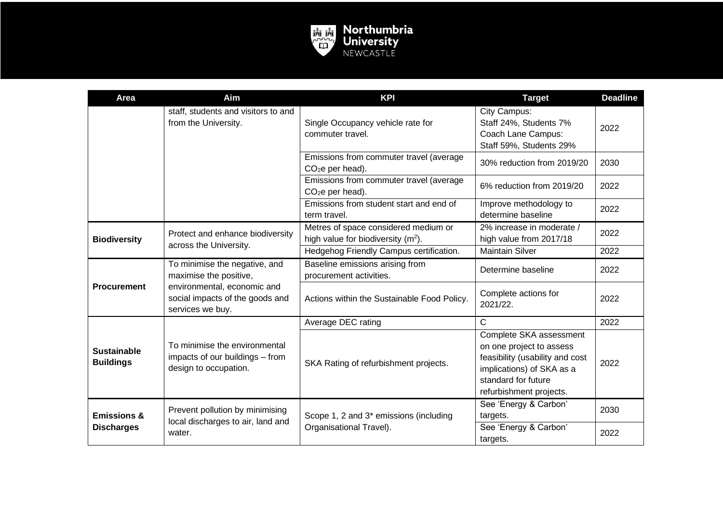

| <b>Area</b>                                 | Aim                                                                                       | <b>KPI</b>                                                                    | <b>Target</b>                                                                                                                                                         | <b>Deadline</b> |
|---------------------------------------------|-------------------------------------------------------------------------------------------|-------------------------------------------------------------------------------|-----------------------------------------------------------------------------------------------------------------------------------------------------------------------|-----------------|
|                                             | staff, students and visitors to and<br>from the University.                               | Single Occupancy vehicle rate for<br>commuter travel.                         | City Campus:<br>Staff 24%, Students 7%<br>Coach Lane Campus:<br>Staff 59%, Students 29%                                                                               | 2022            |
|                                             |                                                                                           | Emissions from commuter travel (average<br>CO <sub>2</sub> e per head).       | 30% reduction from 2019/20                                                                                                                                            | 2030            |
|                                             |                                                                                           | Emissions from commuter travel (average<br>$CO2e$ per head).                  | 6% reduction from 2019/20                                                                                                                                             | 2022            |
|                                             |                                                                                           | Emissions from student start and end of<br>term travel.                       | Improve methodology to<br>determine baseline                                                                                                                          | 2022            |
| <b>Biodiversity</b>                         | Protect and enhance biodiversity<br>across the University.                                | Metres of space considered medium or<br>high value for biodiversity $(m2)$ .  | 2% increase in moderate /<br>high value from 2017/18                                                                                                                  | 2022            |
|                                             |                                                                                           | Hedgehog Friendly Campus certification.                                       | <b>Maintain Silver</b>                                                                                                                                                | 2022            |
| <b>Procurement</b>                          | To minimise the negative, and<br>maximise the positive,                                   | Baseline emissions arising from<br>procurement activities.                    | Determine baseline                                                                                                                                                    | 2022            |
|                                             | environmental, economic and<br>social impacts of the goods and<br>services we buy.        | Actions within the Sustainable Food Policy.                                   | Complete actions for<br>2021/22.                                                                                                                                      | 2022            |
| <b>Sustainable</b><br><b>Buildings</b>      |                                                                                           | Average DEC rating                                                            | C                                                                                                                                                                     | 2022            |
|                                             | To minimise the environmental<br>impacts of our buildings - from<br>design to occupation. | SKA Rating of refurbishment projects.                                         | Complete SKA assessment<br>on one project to assess<br>feasibility (usability and cost<br>implications) of SKA as a<br>standard for future<br>refurbishment projects. | 2022            |
| <b>Emissions &amp;</b><br><b>Discharges</b> | Prevent pollution by minimising<br>local discharges to air, land and<br>water.            | Scope 1, 2 and 3 <sup>*</sup> emissions (including<br>Organisational Travel). | See 'Energy & Carbon'<br>targets.<br>See 'Energy & Carbon'                                                                                                            | 2030<br>2022    |
|                                             |                                                                                           |                                                                               | targets.                                                                                                                                                              |                 |